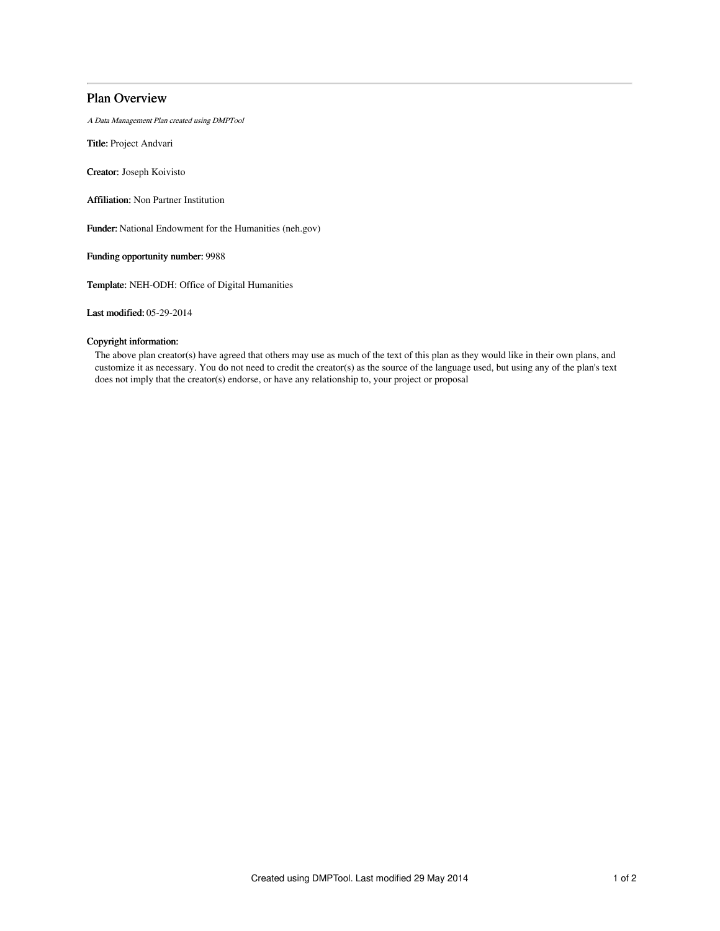## Plan Overview

A Data Management Plan created using DMPTool

Title: Project Andvari

Creator: Joseph Koivisto

Affiliation: Non Partner Institution

Funder: National Endowment for the Humanities (neh.gov)

Funding opportunity number: 9988

Template: NEH-ODH: Office of Digital Humanities

Last modified: 05-29-2014

## Copyright information:

The above plan creator(s) have agreed that others may use as much of the text of this plan as they would like in their own plans, and customize it as necessary. You do not need to credit the creator(s) as the source of the language used, but using any of the plan's text does not imply that the creator(s) endorse, or have any relationship to, your project or proposal